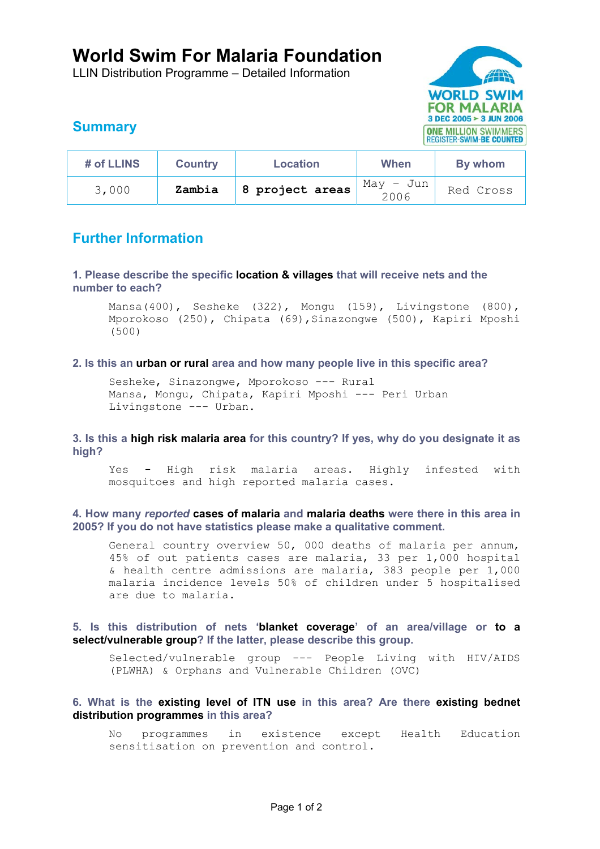# **World Swim For Malaria Foundation**

LLIN Distribution Programme – Detailed Information



## **Summary**

| # of LLINS | <b>Country</b> | Location        | When              | By whom   |
|------------|----------------|-----------------|-------------------|-----------|
| 3,000      | Zambia         | 8 project areas | May – Jun<br>2006 | Red Cross |

### **Further Information**

**1. Please describe the specific location & villages that will receive nets and the number to each?** 

Mansa(400), Sesheke (322), Mongu (159), Livingstone (800), Mporokoso (250), Chipata (69),Sinazongwe (500), Kapiri Mposhi (500)

#### **2. Is this an urban or rural area and how many people live in this specific area?**

Sesheke, Sinazongwe, Mporokoso --- Rural Mansa, Mongu, Chipata, Kapiri Mposhi --- Peri Urban Livingstone --- Urban.

**3. Is this a high risk malaria area for this country? If yes, why do you designate it as high?** 

Yes - High risk malaria areas. Highly infested with mosquitoes and high reported malaria cases.

**4. How many** *reported* **cases of malaria and malaria deaths were there in this area in 2005? If you do not have statistics please make a qualitative comment.** 

General country overview 50, 000 deaths of malaria per annum, 45% of out patients cases are malaria, 33 per 1,000 hospital & health centre admissions are malaria, 383 people per 1,000 malaria incidence levels 50% of children under 5 hospitalised are due to malaria.

**5. Is this distribution of nets 'blanket coverage' of an area/village or to a select/vulnerable group? If the latter, please describe this group.** 

Selected/vulnerable group --- People Living with HIV/AIDS (PLWHA) & Orphans and Vulnerable Children (OVC)

### **6. What is the existing level of ITN use in this area? Are there existing bednet distribution programmes in this area?**

No programmes in existence except Health Education sensitisation on prevention and control.